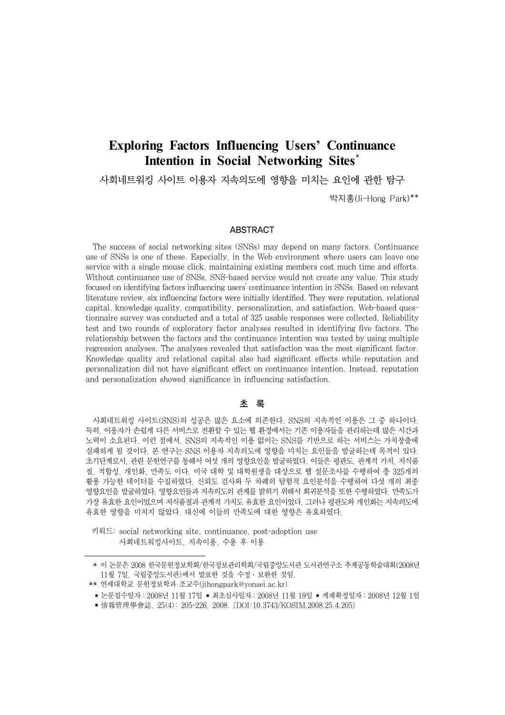# **Exploring Factors Influencing Users' Continuance Intention in Social Networking Sites**\*

사회네트워킹 사이트 이용자 지속의도에 영향을 미치는 요인에 관한 탐구

박지홍(Ji-Hong Park)\*\*

### ABSTRACT

The success of social networking sites (SNSs) may depend on many factors. Continuance use of SNSs is one of these. Especially, in the Web environment where users can leave one service with a single mouse click, maintaining existing members cost much time and efforts. Without continuance use of SNSs, SNS-based service would not create any value. This study focused on identifying factors influencing users' continuance intention in SNSs. Based on relevant literature review, six influencing factors were initially identified. They were reputation, relational capital, knowledge quality, compatibility, personalization, and satisfaction. Web-based questionnaire survey was conducted and a total of 325 usable responses were collected. Reliability test and two rounds of exploratory factor analyses resulted in identifying five factors. The relationship between the factors and the continuance intention was tested by using multiple regression analyses. The analyses revealed that satisfaction was the most significant factor. Knowledge quality and relational capital also had significant effects while reputation and personalization did not have significant effect on continuance intention. Instead, reputation and personalization showed significance in influencing satisfaction.

## 초 록

사회네트워킹 사이트(SNS)의 성공은 많은 요소에 의존한다. SNS의 지속적인 이용은 그 중 하나이다. 특히, 이용자가 손쉽게 다른 서비스로 전환할 수 있는 웹 환경에서는 기존 이용자들을 관리하는데 많은 시간과 노력이 소요된다. 이런 점에서, SNS의 지속적인 이용 없이는 SNS를 기반으로 하는 서비스는 가치창출에 실패하게 될 것이다. 본 연구는 SNS 이용자 지속의도에 영향을 미치는 요인들을 발굴하는데 목적이 있다. 초기단계로서, 관련 문헌연구를 통해서 여섯 개의 영향요인을 발굴하였다. 이들은 평판도, 관계적 가치, 지식품 질, 적합성, 개인화, 만족도 이다. 미국 대학 및 대학원생을 대상으로 웹 설문조사를 수행하여 총 325개의 활용 가능한 데이터를 수집하였다. 신뢰도 검사와 두 차례의 탐험적 요인분석을 수행하여 다섯 개의 최종 영향요인을 발굴하였다. 영향요인들과 지속의도의 관계를 밝히기 위해서 회귀분석을 또한 수행하였다. 만족도가 가장 유효한 요인이었으며 지식품질과 관계적 가치도 유효한 요인이었다. 그러나 평판도와 개인화는 지속의도에 유효한 영향을 미치지 않았다. 대신에 이들의 만족도에 대한 영향은 유효하였다.

키워드: social networking site, continuance, post-adoption use 사회네트워킹사이트, 지속이용, 수용 후 이용

<sup>\*</sup> 이 논문은 2008 한국문헌정보학회/한국정보관리학회/국립중앙도서관 도서관연구소 추계공동학술대회(2008년 11월 7일, 국립중앙도서관)에서 발표한 것을 수정․보완한 것임.

<sup>\*\*</sup> 연세대학교 문헌정보학과 조교수(jihongpark@yonsei.ac.kr)

<sup>■</sup> 논문접수일자: 2008년 11월 17일 ■ 최초심사일자: 2008년 11월 19일 ■ 게재확정일자: 2008년 12월 1일

<sup>■</sup> 情報管理學會誌, 25(4): 205-226, 2008. [DOI:10.3743/KOSIM.2008.25.4.205]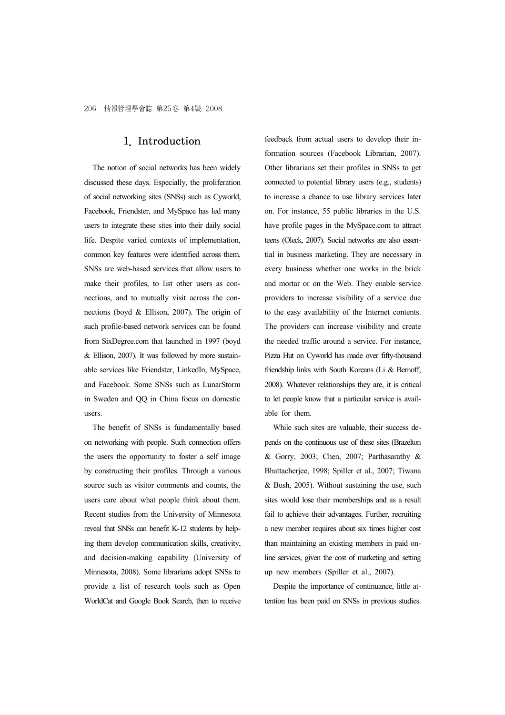### 1. Introduction

The notion of social networks has been widely discussed these days. Especially, the proliferation of social networking sites (SNSs) such as Cyworld, Facebook, Friendster, and MySpace has led many users to integrate these sites into their daily social life. Despite varied contexts of implementation, common key features were identified across them. SNSs are web-based services that allow users to make their profiles, to list other users as connections, and to mutually visit across the connections (boyd & Ellison, 2007). The origin of such profile-based network services can be found from SixDegree.com that launched in 1997 (boyd & Ellison, 2007). It was followed by more sustainable services like Friendster, LinkedIn, MySpace, and Facebook. Some SNSs such as LunarStorm in Sweden and QQ in China focus on domestic users.

The benefit of SNSs is fundamentally based on networking with people. Such connection offers the users the opportunity to foster a self image by constructing their profiles. Through a various source such as visitor comments and counts, the users care about what people think about them. Recent studies from the University of Minnesota reveal that SNSs can benefit K-12 students by helping them develop communication skills, creativity, and decision-making capability (University of Minnesota, 2008). Some librarians adopt SNSs to provide a list of research tools such as Open WorldCat and Google Book Search, then to receive feedback from actual users to develop their information sources (Facebook Librarian, 2007). Other librarians set their profiles in SNSs to get connected to potential library users (e.g., students) to increase a chance to use library services later on. For instance, 55 public libraries in the U.S. have profile pages in the MySpace.com to attract teens (Oleck, 2007). Social networks are also essential in business marketing. They are necessary in every business whether one works in the brick and mortar or on the Web. They enable service providers to increase visibility of a service due to the easy availability of the Internet contents. The providers can increase visibility and create the needed traffic around a service. For instance, Pizza Hut on Cyworld has made over fifty-thousand friendship links with South Koreans (Li & Bernoff, 2008). Whatever relationships they are, it is critical to let people know that a particular service is available for them.

While such sites are valuable, their success depends on the continuous use of these sites (Brazelton & Gorry, 2003; Chen, 2007; Parthasarathy & Bhattacherjee, 1998; Spiller et al., 2007; Tiwana & Bush, 2005). Without sustaining the use, such sites would lose their memberships and as a result fail to achieve their advantages. Further, recruiting a new member requires about six times higher cost than maintaining an existing members in paid online services, given the cost of marketing and setting up new members (Spiller et al., 2007).

Despite the importance of continuance, little attention has been paid on SNSs in previous studies.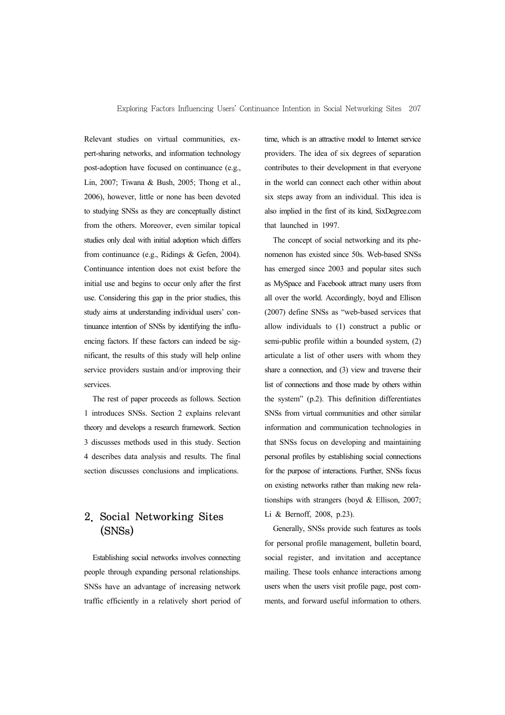Relevant studies on virtual communities, expert-sharing networks, and information technology post-adoption have focused on continuance (e.g., Lin, 2007; Tiwana & Bush, 2005; Thong et al., 2006), however, little or none has been devoted to studying SNSs as they are conceptually distinct from the others. Moreover, even similar topical studies only deal with initial adoption which differs from continuance (e.g., Ridings & Gefen, 2004). Continuance intention does not exist before the initial use and begins to occur only after the first use. Considering this gap in the prior studies, this study aims at understanding individual users' continuance intention of SNSs by identifying the influencing factors. If these factors can indeed be significant, the results of this study will help online service providers sustain and/or improving their services.

The rest of paper proceeds as follows. Section 1 introduces SNSs. Section 2 explains relevant theory and develops a research framework. Section 3 discusses methods used in this study. Section 4 describes data analysis and results. The final section discusses conclusions and implications.

## 2. Social Networking Sites (SNSs)

Establishing social networks involves connecting people through expanding personal relationships. SNSs have an advantage of increasing network traffic efficiently in a relatively short period of time, which is an attractive model to Internet service providers. The idea of six degrees of separation contributes to their development in that everyone in the world can connect each other within about six steps away from an individual. This idea is also implied in the first of its kind, SixDegree.com that launched in 1997.

The concept of social networking and its phenomenon has existed since 50s. Web-based SNSs has emerged since 2003 and popular sites such as MySpace and Facebook attract many users from all over the world. Accordingly, boyd and Ellison (2007) define SNSs as "web-based services that allow individuals to (1) construct a public or semi-public profile within a bounded system, (2) articulate a list of other users with whom they share a connection, and (3) view and traverse their list of connections and those made by others within the system" (p.2). This definition differentiates SNSs from virtual communities and other similar information and communication technologies in that SNSs focus on developing and maintaining personal profiles by establishing social connections for the purpose of interactions. Further, SNSs focus on existing networks rather than making new relationships with strangers (boyd & Ellison, 2007; Li & Bernoff, 2008, p.23).

Generally, SNSs provide such features as tools for personal profile management, bulletin board, social register, and invitation and acceptance mailing. These tools enhance interactions among users when the users visit profile page, post comments, and forward useful information to others.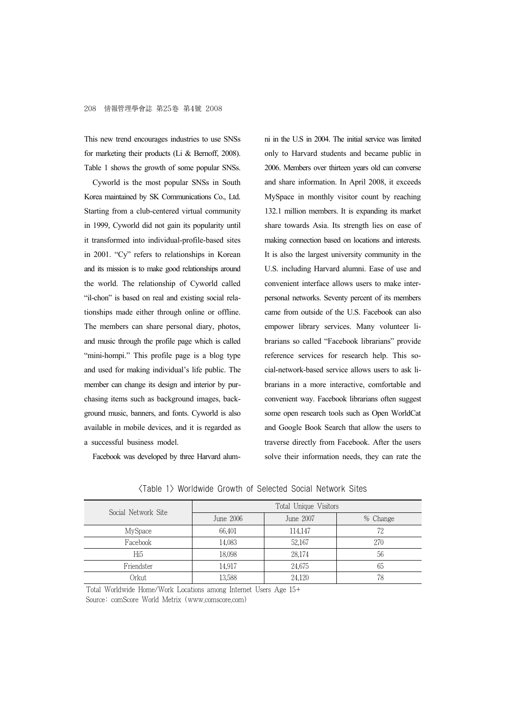This new trend encourages industries to use SNSs for marketing their products (Li & Bernoff, 2008). Table 1 shows the growth of some popular SNSs.

Cyworld is the most popular SNSs in South Korea maintained by SK Communications Co., Ltd. Starting from a club-centered virtual community in 1999, Cyworld did not gain its popularity until it transformed into individual-profile-based sites in 2001. "Cy" refers to relationships in Korean and its mission is to make good relationships around the world. The relationship of Cyworld called "il-chon" is based on real and existing social relationships made either through online or offline. The members can share personal diary, photos, and music through the profile page which is called "mini-hompi." This profile page is a blog type and used for making individual's life public. The member can change its design and interior by purchasing items such as background images, background music, banners, and fonts. Cyworld is also available in mobile devices, and it is regarded as a successful business model.

Facebook was developed by three Harvard alum-

ni in the U.S in 2004. The initial service was limited only to Harvard students and became public in 2006. Members over thirteen years old can converse and share information. In April 2008, it exceeds MySpace in monthly visitor count by reaching 132.1 million members. It is expanding its market share towards Asia. Its strength lies on ease of making connection based on locations and interests. It is also the largest university community in the U.S. including Harvard alumni. Ease of use and convenient interface allows users to make interpersonal networks. Seventy percent of its members came from outside of the U.S. Facebook can also empower library services. Many volunteer librarians so called "Facebook librarians" provide reference services for research help. This social-network-based service allows users to ask librarians in a more interactive, comfortable and convenient way. Facebook librarians often suggest some open research tools such as Open WorldCat and Google Book Search that allow the users to traverse directly from Facebook. After the users solve their information needs, they can rate the

| Social Network Site | Total Unique Visitors |           |          |  |  |  |
|---------------------|-----------------------|-----------|----------|--|--|--|
|                     | June 2006             | June 2007 | % Change |  |  |  |
| MySpace             | 66,401                | 114.147   | 72       |  |  |  |
| Facebook            | 14.083                | 52,167    | 270      |  |  |  |
| Hi <sub>5</sub>     | 18.098                | 28,174    | 56       |  |  |  |
| Friendster          | 14.917                | 24,675    | 65       |  |  |  |
| Orkut               | 13,588                | 24.120    | 78       |  |  |  |

<Table 1> Worldwide Growth of Selected Social Network Sites

Total Worldwide Home/Work Locations among Internet Users Age 15+ Source: comScore World Metrix (www.comscore.com)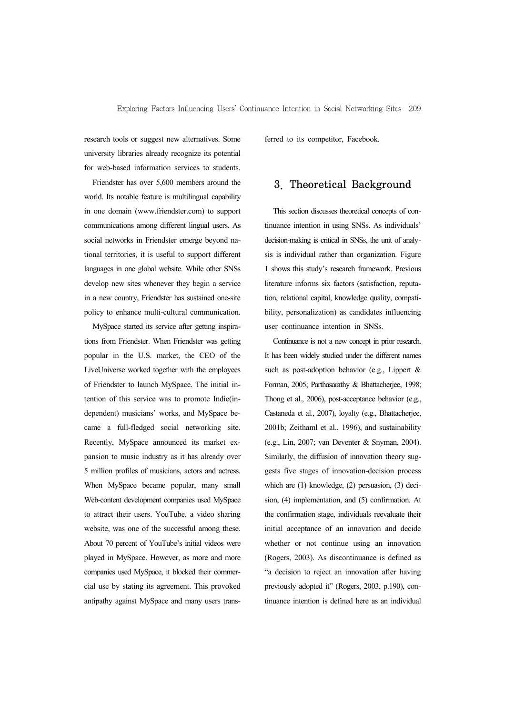research tools or suggest new alternatives. Some university libraries already recognize its potential for web-based information services to students.

Friendster has over 5,600 members around the world. Its notable feature is multilingual capability in one domain (www.friendster.com) to support communications among different lingual users. As social networks in Friendster emerge beyond national territories, it is useful to support different languages in one global website. While other SNSs develop new sites whenever they begin a service in a new country, Friendster has sustained one-site policy to enhance multi-cultural communication.

MySpace started its service after getting inspirations from Friendster. When Friendster was getting popular in the U.S. market, the CEO of the LiveUniverse worked together with the employees of Friendster to launch MySpace. The initial intention of this service was to promote Indie(independent) musicians' works, and MySpace became a full-fledged social networking site. Recently, MySpace announced its market expansion to music industry as it has already over 5 million profiles of musicians, actors and actress. When MySpace became popular, many small Web-content development companies used MySpace to attract their users. YouTube, a video sharing website, was one of the successful among these. About 70 percent of YouTube's initial videos were played in MySpace. However, as more and more companies used MySpace, it blocked their commercial use by stating its agreement. This provoked antipathy against MySpace and many users transferred to its competitor, Facebook.

## 3. Theoretical Background

This section discusses theoretical concepts of continuance intention in using SNSs. As individuals' decision-making is critical in SNSs, the unit of analysis is individual rather than organization. Figure 1 shows this study's research framework. Previous literature informs six factors (satisfaction, reputation, relational capital, knowledge quality, compatibility, personalization) as candidates influencing user continuance intention in SNSs.

Continuance is not a new concept in prior research. It has been widely studied under the different names such as post-adoption behavior (e.g., Lippert & Forman, 2005; Parthasarathy & Bhattacherjee, 1998; Thong et al., 2006), post-acceptance behavior (e.g., Castaneda et al., 2007), loyalty (e.g., Bhattacherjee, 2001b; Zeithaml et al., 1996), and sustainability (e.g., Lin, 2007; van Deventer & Snyman, 2004). Similarly, the diffusion of innovation theory suggests five stages of innovation-decision process which are (1) knowledge, (2) persuasion, (3) decision, (4) implementation, and (5) confirmation. At the confirmation stage, individuals reevaluate their initial acceptance of an innovation and decide whether or not continue using an innovation (Rogers, 2003). As discontinuance is defined as "a decision to reject an innovation after having previously adopted it" (Rogers, 2003, p.190), continuance intention is defined here as an individual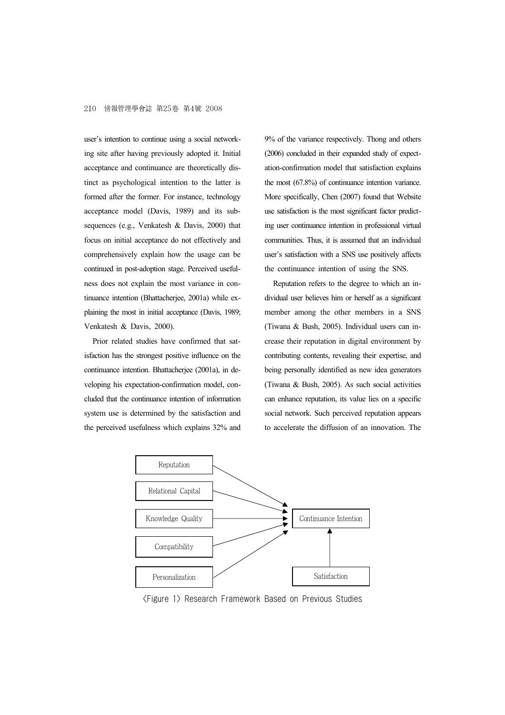user's intention to continue using a social networking site after having previously adopted it. Initial acceptance and continuance are theoretically distinct as psychological intention to the latter is formed after the former. For instance, technology acceptance model (Davis, 1989) and its subsequences (e.g., Venkatesh & Davis, 2000) that focus on initial acceptance do not effectively and comprehensively explain how the usage can be continued in post-adoption stage. Perceived usefulness does not explain the most variance in continuance intention (Bhattacherjee, 2001a) while explaining the most in initial acceptance (Davis, 1989; Venkatesh & Davis, 2000).

Prior related studies have confirmed that satisfaction has the strongest positive influence on the continuance intention. Bhattacherjee (2001a), in developing his expectation-confirmation model, concluded that the continuance intention of information system use is determined by the satisfaction and the perceived usefulness which explains 32% and 9% of the variance respectively. Thong and others (2006) concluded in their expanded study of expectation-confirmation model that satisfaction explains the most (67.8%) of continuance intention variance. More specifically, Chen (2007) found that Website use satisfaction is the most significant factor predicting user continuance intention in professional virtual communities. Thus, it is assumed that an individual user's satisfaction with a SNS use positively affects the continuance intention of using the SNS.

Reputation refers to the degree to which an individual user believes him or herself as a significant member among the other members in a SNS (Tiwana & Bush, 2005). Individual users can increase their reputation in digital environment by contributing contents, revealing their expertise, and being personally identified as new idea generators (Tiwana & Bush, 2005). As such social activities can enhance reputation, its value lies on a specific social network. Such perceived reputation appears to accelerate the diffusion of an innovation. The



<Figure 1> Research Framework Based on Previous Studies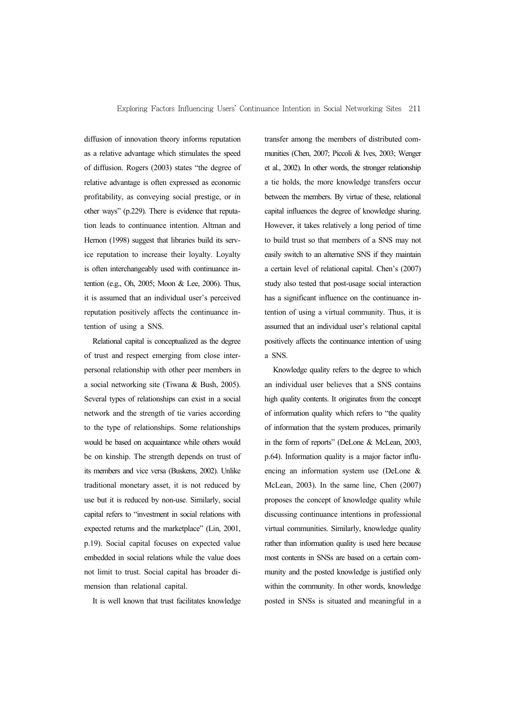diffusion of innovation theory informs reputation as a relative advantage which stimulates the speed of diffusion. Rogers (2003) states "the degree of relative advantage is often expressed as economic profitability, as conveying social prestige, or in other ways" (p.229). There is evidence that reputation leads to continuance intention. Altman and Hernon (1998) suggest that libraries build its service reputation to increase their loyalty. Loyalty is often interchangeably used with continuance intention (e.g., Oh, 2005; Moon & Lee, 2006). Thus, it is assumed that an individual user's perceived reputation positively affects the continuance intention of using a SNS.

Relational capital is conceptualized as the degree of trust and respect emerging from close interpersonal relationship with other peer members in a social networking site (Tiwana & Bush, 2005). Several types of relationships can exist in a social network and the strength of tie varies according to the type of relationships. Some relationships would be based on acquaintance while others would be on kinship. The strength depends on trust of its members and vice versa (Buskens, 2002). Unlike traditional monetary asset, it is not reduced by use but it is reduced by non-use. Similarly, social capital refers to "investment in social relations with expected returns and the marketplace" (Lin, 2001, p.19). Social capital focuses on expected value embedded in social relations while the value does not limit to trust. Social capital has broader dimension than relational capital.

It is well known that trust facilitates knowledge

transfer among the members of distributed communities (Chen, 2007; Piccoli & Ives, 2003; Wenger et al., 2002). In other words, the stronger relationship a tie holds, the more knowledge transfers occur between the members. By virtue of these, relational capital influences the degree of knowledge sharing. However, it takes relatively a long period of time to build trust so that members of a SNS may not easily switch to an alternative SNS if they maintain a certain level of relational capital. Chen's (2007) study also tested that post-usage social interaction has a significant influence on the continuance intention of using a virtual community. Thus, it is assumed that an individual user's relational capital positively affects the continuance intention of using a SNS.

Knowledge quality refers to the degree to which an individual user believes that a SNS contains high quality contents. It originates from the concept of information quality which refers to "the quality of information that the system produces, primarily in the form of reports" (DeLone & McLean, 2003, p.64). Information quality is a major factor influencing an information system use (DeLone & McLean, 2003). In the same line, Chen (2007) proposes the concept of knowledge quality while discussing continuance intentions in professional virtual communities. Similarly, knowledge quality rather than information quality is used here because most contents in SNSs are based on a certain community and the posted knowledge is justified only within the community. In other words, knowledge posted in SNSs is situated and meaningful in a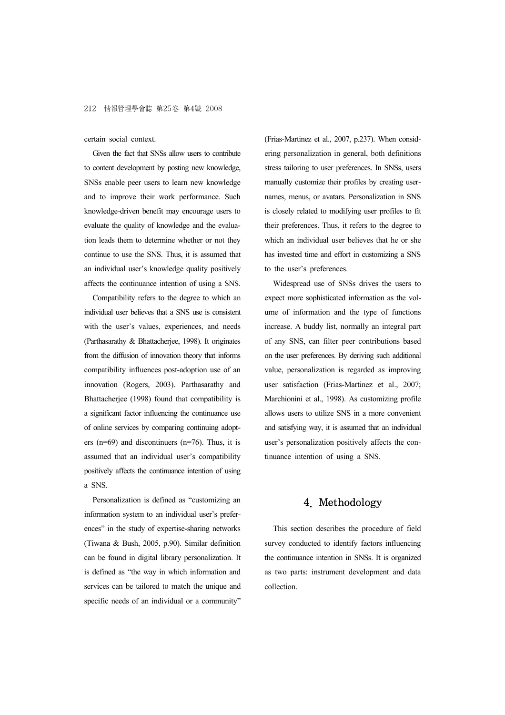certain social context.

Given the fact that SNSs allow users to contribute to content development by posting new knowledge, SNSs enable peer users to learn new knowledge and to improve their work performance. Such knowledge-driven benefit may encourage users to evaluate the quality of knowledge and the evaluation leads them to determine whether or not they continue to use the SNS. Thus, it is assumed that an individual user's knowledge quality positively affects the continuance intention of using a SNS.

Compatibility refers to the degree to which an individual user believes that a SNS use is consistent with the user's values, experiences, and needs (Parthasarathy & Bhattacherjee, 1998). It originates from the diffusion of innovation theory that informs compatibility influences post-adoption use of an innovation (Rogers, 2003). Parthasarathy and Bhattacherjee (1998) found that compatibility is a significant factor influencing the continuance use of online services by comparing continuing adopters (n=69) and discontinuers (n=76). Thus, it is assumed that an individual user's compatibility positively affects the continuance intention of using a SNS.

Personalization is defined as "customizing an information system to an individual user's preferences" in the study of expertise-sharing networks (Tiwana & Bush, 2005, p.90). Similar definition can be found in digital library personalization. It is defined as "the way in which information and services can be tailored to match the unique and specific needs of an individual or a community"

(Frias-Martinez et al., 2007, p.237). When considering personalization in general, both definitions stress tailoring to user preferences. In SNSs, users manually customize their profiles by creating usernames, menus, or avatars. Personalization in SNS is closely related to modifying user profiles to fit their preferences. Thus, it refers to the degree to which an individual user believes that he or she has invested time and effort in customizing a SNS to the user's preferences.

Widespread use of SNSs drives the users to expect more sophisticated information as the volume of information and the type of functions increase. A buddy list, normally an integral part of any SNS, can filter peer contributions based on the user preferences. By deriving such additional value, personalization is regarded as improving user satisfaction (Frias-Martinez et al., 2007; Marchionini et al., 1998). As customizing profile allows users to utilize SNS in a more convenient and satisfying way, it is assumed that an individual user's personalization positively affects the continuance intention of using a SNS.

## 4. Methodology

This section describes the procedure of field survey conducted to identify factors influencing the continuance intention in SNSs. It is organized as two parts: instrument development and data collection.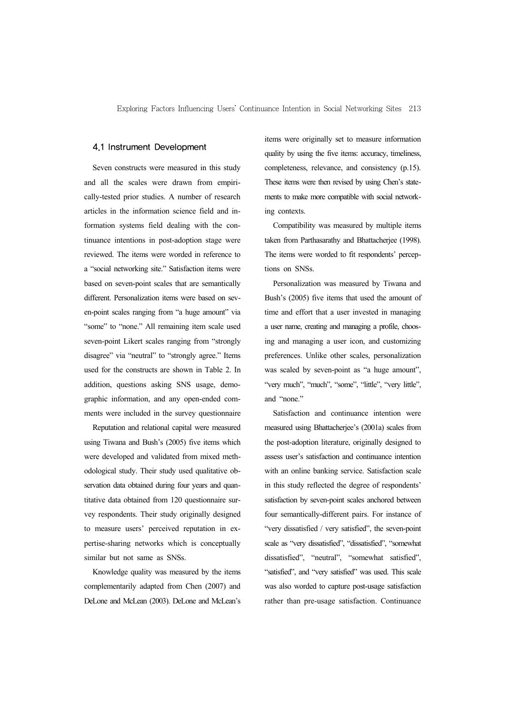#### 4.1 Instrument Development

Seven constructs were measured in this study and all the scales were drawn from empirically-tested prior studies. A number of research articles in the information science field and information systems field dealing with the continuance intentions in post-adoption stage were reviewed. The items were worded in reference to a "social networking site." Satisfaction items were based on seven-point scales that are semantically different. Personalization items were based on seven-point scales ranging from "a huge amount" via "some" to "none." All remaining item scale used seven-point Likert scales ranging from "strongly disagree" via "neutral" to "strongly agree." Items used for the constructs are shown in Table 2. In addition, questions asking SNS usage, demographic information, and any open-ended comments were included in the survey questionnaire

Reputation and relational capital were measured using Tiwana and Bush's (2005) five items which were developed and validated from mixed methodological study. Their study used qualitative observation data obtained during four years and quantitative data obtained from 120 questionnaire survey respondents. Their study originally designed to measure users' perceived reputation in expertise-sharing networks which is conceptually similar but not same as SNSs.

Knowledge quality was measured by the items complementarily adapted from Chen (2007) and DeLone and McLean (2003). DeLone and McLean's items were originally set to measure information quality by using the five items: accuracy, timeliness, completeness, relevance, and consistency (p.15). These items were then revised by using Chen's statements to make more compatible with social networking contexts.

Compatibility was measured by multiple items taken from Parthasarathy and Bhattacherjee (1998). The items were worded to fit respondents' perceptions on SNSs.

Personalization was measured by Tiwana and Bush's (2005) five items that used the amount of time and effort that a user invested in managing a user name, creating and managing a profile, choosing and managing a user icon, and customizing preferences. Unlike other scales, personalization was scaled by seven-point as "a huge amount", "very much", "much", "some", "little", "very little", and "none."

Satisfaction and continuance intention were measured using Bhattacherjee's (2001a) scales from the post-adoption literature, originally designed to assess user's satisfaction and continuance intention with an online banking service. Satisfaction scale in this study reflected the degree of respondents' satisfaction by seven-point scales anchored between four semantically-different pairs. For instance of "very dissatisfied / very satisfied", the seven-point scale as "very dissatisfied", "dissatisfied", "somewhat dissatisfied", "neutral", "somewhat satisfied", "satisfied", and "very satisfied" was used. This scale was also worded to capture post-usage satisfaction rather than pre-usage satisfaction. Continuance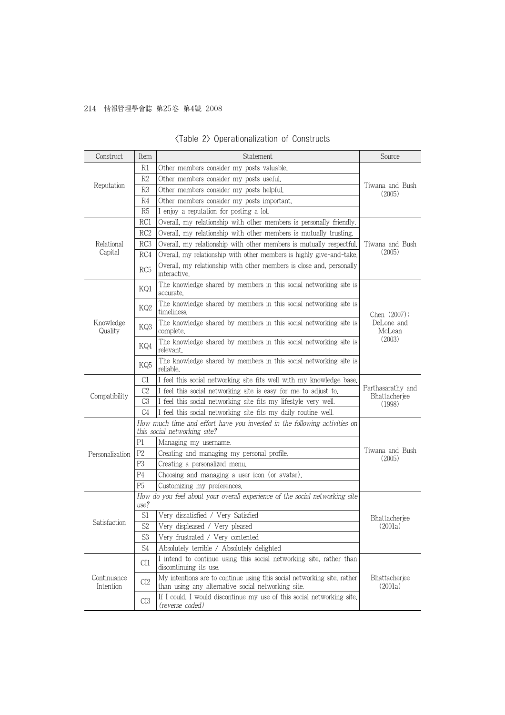## 214 情報管理學會誌 第25卷 第4號 2008

| Construct                | Item            | Statement                                                                                                                     | Source                             |  |
|--------------------------|-----------------|-------------------------------------------------------------------------------------------------------------------------------|------------------------------------|--|
|                          | R1              | Other members consider my posts valuable.                                                                                     |                                    |  |
|                          | R2              | Other members consider my posts useful.                                                                                       |                                    |  |
| Reputation               | R3              | Other members consider my posts helpful.                                                                                      | Tiwana and Bush<br>(2005)          |  |
|                          | R4              | Other members consider my posts important.                                                                                    |                                    |  |
|                          | R <sub>5</sub>  | I enjoy a reputation for posting a lot.                                                                                       |                                    |  |
|                          | RC1             | Overall, my relationship with other members is personally friendly.                                                           |                                    |  |
|                          | RC <sub>2</sub> | Overall, my relationship with other members is mutually trusting.                                                             |                                    |  |
| Relational               | RC3             | Overall, my relationship with other members is mutually respectful.                                                           | Tiwana and Bush                    |  |
| Capital                  | RC4             | Overall, my relationship with other members is highly give-and-take.                                                          | (2005)                             |  |
|                          | RC <sub>5</sub> | Overall, my relationship with other members is close and, personally<br>interactive.                                          |                                    |  |
|                          | KQ1             | The knowledge shared by members in this social networking site is<br>accurate.                                                |                                    |  |
|                          | KQ2             | The knowledge shared by members in this social networking site is<br>timeliness.                                              | Chen $(2007)$ ;                    |  |
| Knowledge<br>Quality     | KQ3             | The knowledge shared by members in this social networking site is<br>complete.                                                | DeLone and<br>McLean<br>(2003)     |  |
|                          | KQ4             | The knowledge shared by members in this social networking site is<br>relevant.                                                |                                    |  |
|                          | KQ5             | The knowledge shared by members in this social networking site is<br>reliable.                                                |                                    |  |
|                          | C1              | I feel this social networking site fits well with my knowledge base.                                                          |                                    |  |
| Compatibility            | C <sub>2</sub>  | I feel this social networking site is easy for me to adjust to.                                                               | Parthasarathy and<br>Bhattacherjee |  |
|                          | C3              | I feel this social networking site fits my lifestyle very well.                                                               | (1998)                             |  |
|                          | C4              | I feel this social networking site fits my daily routine well.                                                                |                                    |  |
|                          |                 | How much time and effort have you invested in the following activities on<br>this social networking site?                     |                                    |  |
|                          | P1              | Managing my username.                                                                                                         |                                    |  |
| Personalization          | P <sub>2</sub>  | Creating and managing my personal profile.                                                                                    | Tiwana and Bush<br>(2005)          |  |
|                          | P <sub>3</sub>  | Creating a personalized menu.                                                                                                 |                                    |  |
|                          | P <sub>4</sub>  | Choosing and managing a user icon (or avatar).                                                                                |                                    |  |
|                          | P <sub>5</sub>  | Customizing my preferences.                                                                                                   |                                    |  |
|                          | use?            | How do you feel about your overall experience of the social networking site                                                   |                                    |  |
|                          | S1              | Very dissatisfied / Very Satisfied                                                                                            | Bhattacherjee                      |  |
| Satisfaction             | S <sub>2</sub>  | Very displeased / Very pleased                                                                                                | (2001a)                            |  |
|                          | S <sub>3</sub>  | Very frustrated / Very contented                                                                                              |                                    |  |
|                          | S <sub>4</sub>  | Absolutely terrible / Absolutely delighted                                                                                    |                                    |  |
|                          | CI1             | I intend to continue using this social networking site, rather than<br>discontinuing its use.                                 |                                    |  |
| Continuance<br>Intention | CI <sub>2</sub> | My intentions are to continue using this social networking site, rather<br>than using any alternative social networking site. | Bhattacherjee<br>(2001a)           |  |
|                          | CI3             | If I could, I would discontinue my use of this social networking site.<br>(reverse coded)                                     |                                    |  |

## <Table 2> Operationalization of Constructs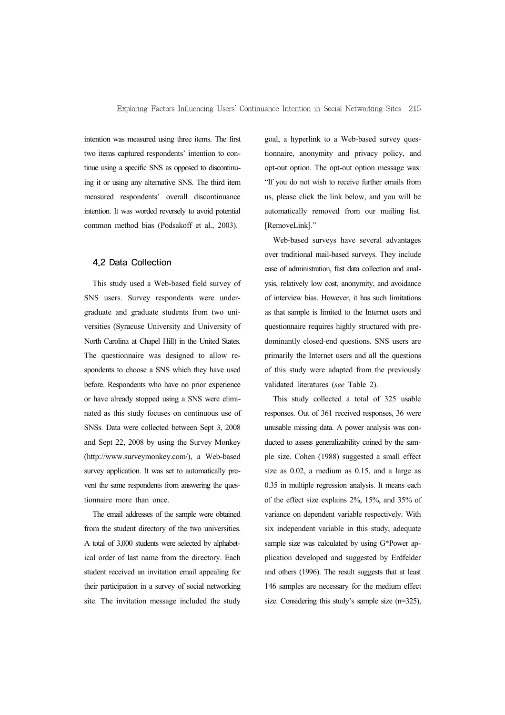intention was measured using three items. The first two items captured respondents' intention to continue using a specific SNS as opposed to discontinuing it or using any alternative SNS. The third item measured respondents' overall discontinuance intention. It was worded reversely to avoid potential common method bias (Podsakoff et al., 2003).

#### 4.2 Data Collection

This study used a Web-based field survey of SNS users. Survey respondents were undergraduate and graduate students from two universities (Syracuse University and University of North Carolina at Chapel Hill) in the United States. The questionnaire was designed to allow respondents to choose a SNS which they have used before. Respondents who have no prior experience or have already stopped using a SNS were eliminated as this study focuses on continuous use of SNSs. Data were collected between Sept 3, 2008 and Sept 22, 2008 by using the Survey Monkey (http://www.surveymonkey.com/), a Web-based survey application. It was set to automatically prevent the same respondents from answering the questionnaire more than once.

The email addresses of the sample were obtained from the student directory of the two universities. A total of 3,000 students were selected by alphabetical order of last name from the directory. Each student received an invitation email appealing for their participation in a survey of social networking site. The invitation message included the study goal, a hyperlink to a Web-based survey questionnaire, anonymity and privacy policy, and opt-out option. The opt-out option message was: "If you do not wish to receive further emails from us, please click the link below, and you will be automatically removed from our mailing list. [RemoveLink]."

Web-based surveys have several advantages over traditional mail-based surveys. They include ease of administration, fast data collection and analysis, relatively low cost, anonymity, and avoidance of interview bias. However, it has such limitations as that sample is limited to the Internet users and questionnaire requires highly structured with predominantly closed-end questions. SNS users are primarily the Internet users and all the questions of this study were adapted from the previously validated literatures (*see* Table 2).

This study collected a total of 325 usable responses. Out of 361 received responses, 36 were unusable missing data. A power analysis was conducted to assess generalizability coined by the sample size. Cohen (1988) suggested a small effect size as 0.02, a medium as 0.15, and a large as 0.35 in multiple regression analysis. It means each of the effect size explains 2%, 15%, and 35% of variance on dependent variable respectively. With six independent variable in this study, adequate sample size was calculated by using G\*Power application developed and suggested by Erdfelder and others (1996). The result suggests that at least 146 samples are necessary for the medium effect size. Considering this study's sample size (n=325),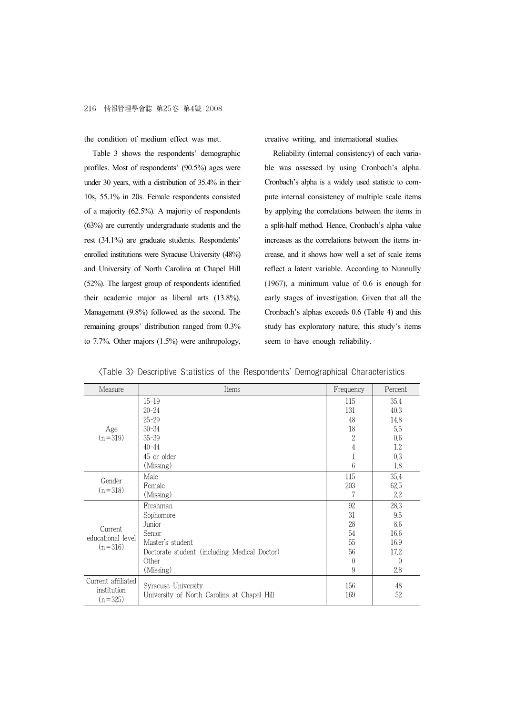the condition of medium effect was met.

Table 3 shows the respondents' demographic profiles. Most of respondents' (90.5%) ages were under 30 years, with a distribution of 35.4% in their 10s, 55.1% in 20s. Female respondents consisted of a majority (62.5%). A majority of respondents (63%) are currently undergraduate students and the rest (34.1%) are graduate students. Respondents' enrolled institutions were Syracuse University (48%) and University of North Carolina at Chapel Hill (52%). The largest group of respondents identified their academic major as liberal arts (13.8%). Management (9.8%) followed as the second. The remaining groups' distribution ranged from 0.3% to 7.7%. Other majors (1.5%) were anthropology, creative writing, and international studies.

Reliability (internal consistency) of each variable was assessed by using Cronbach's alpha. Cronbach's alpha is a widely used statistic to compute internal consistency of multiple scale items by applying the correlations between the items in a split-half method. Hence, Cronbach's alpha value increases as the correlations between the items increase, and it shows how well a set of scale items reflect a latent variable. According to Nunnully (1967), a minimum value of 0.6 is enough for early stages of investigation. Given that all the Cronbach's alphas exceeds 0.6 (Table 4) and this study has exploratory nature, this study's items seem to have enough reliability.

<Table 3> Descriptive Statistics of the Respondents' Demographical Characteristics

| Measure                      | Items                                        | Frequency      | Percent  |
|------------------------------|----------------------------------------------|----------------|----------|
|                              | $15 - 19$                                    | 115            | 35.4     |
|                              | $20 - 24$                                    | 131            | 40.3     |
|                              | $25 - 29$                                    | 48             | 14.8     |
| Age                          | $30 - 34$                                    | 18             | 5.5      |
| $(n=319)$                    | $35 - 39$                                    | $\sqrt{2}$     | 0.6      |
|                              | $40 - 44$                                    | $\overline{4}$ | 1.2      |
|                              | 45 or older                                  | 1              | 0.3      |
|                              | (Missing)                                    | 6              | 1.8      |
|                              | Male                                         | 115            | 35.4     |
| Gender                       | Female                                       | 203            | 62.5     |
| $(n=318)$                    | (Missing)                                    | 7              | 2.2      |
|                              | Freshman                                     | 92             | 28,3     |
|                              | Sophomore                                    | 31             | 9.5      |
|                              | Junior                                       | 28             | 8.6      |
| Current<br>educational level | Senior                                       | 54             | 16.6     |
| $(n=316)$                    | Master's student                             | 55             | 16.9     |
|                              | Doctorate student (including Medical Doctor) | 56             | 17.2     |
|                              | Other                                        | $\left($       | $\left($ |
|                              | (Missing)                                    | 9              | 2.8      |
| Current affiliated           | Syracuse University                          | 156            | 48       |
| institution<br>$(n=325)$     | University of North Carolina at Chapel Hill  | 169            | 52       |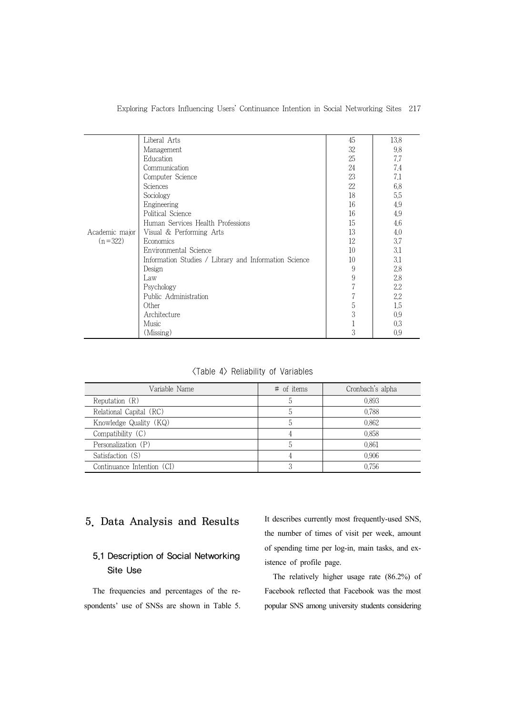| Exploring Factors Influencing Users' Continuance Intention in Social Networking Sites 217 |  |  |  |  |  |  |
|-------------------------------------------------------------------------------------------|--|--|--|--|--|--|
|-------------------------------------------------------------------------------------------|--|--|--|--|--|--|

|                             | Liberal Arts                                          | 45             | 13.8 |
|-----------------------------|-------------------------------------------------------|----------------|------|
|                             |                                                       |                |      |
|                             | Management                                            | 32             | 9.8  |
|                             | Education                                             | 25             | 7.7  |
|                             | Communication                                         | 24             | 7.4  |
|                             | Computer Science                                      | 23             | 7.1  |
|                             | Sciences                                              | 22             | 6.8  |
|                             | Sociology                                             | 18             | 5.5  |
|                             | Engineering                                           | 16             | 4.9  |
|                             | Political Science                                     | 16             | 4.9  |
| Academic major<br>$(n=322)$ | Human Services Health Professions                     | 15             | 4.6  |
|                             | Visual & Performing Arts                              | 13             | 4,0  |
|                             | Economics                                             | 12             | 3.7  |
|                             | Environmental Science                                 | 10             | 3.1  |
|                             | Information Studies / Library and Information Science | 10             | 3.1  |
|                             | Design                                                | 9              | 2.8  |
|                             | Law                                                   | $\overline{9}$ | 2.8  |
|                             | Psychology                                            | $\overline{7}$ | 2.2  |
|                             | Public Administration                                 | 7              | 2.2  |
|                             | Other                                                 | $\mathbf 5$    | 1.5  |
|                             | Architecture                                          | 3              | 0.9  |
|                             | Music                                                 | 1              | 0.3  |
|                             | (Missing)                                             | 3              | 0.9  |

<Table 4> Reliability of Variables

| Variable Name              | $\#$ of items  | Cronbach's alpha |
|----------------------------|----------------|------------------|
| Reputation $(R)$           | $\mathfrak{h}$ | 0.893            |
| Relational Capital (RC)    | 5              | 0.788            |
| Knowledge Quality (KQ)     | $\mathfrak h$  | 0.862            |
| Compatibility $(C)$        |                | 0.858            |
| Personalization (P)        | b.             | 0.861            |
| Satisfaction (S)           |                | 0.906            |
| Continuance Intention (CI) |                | 0.756            |

## 5. Data Analysis and Results

## 5.1 Description of Social Networking Site Use

The frequencies and percentages of the respondents' use of SNSs are shown in Table 5. It describes currently most frequently-used SNS, the number of times of visit per week, amount of spending time per log-in, main tasks, and existence of profile page.

The relatively higher usage rate (86.2%) of Facebook reflected that Facebook was the most popular SNS among university students considering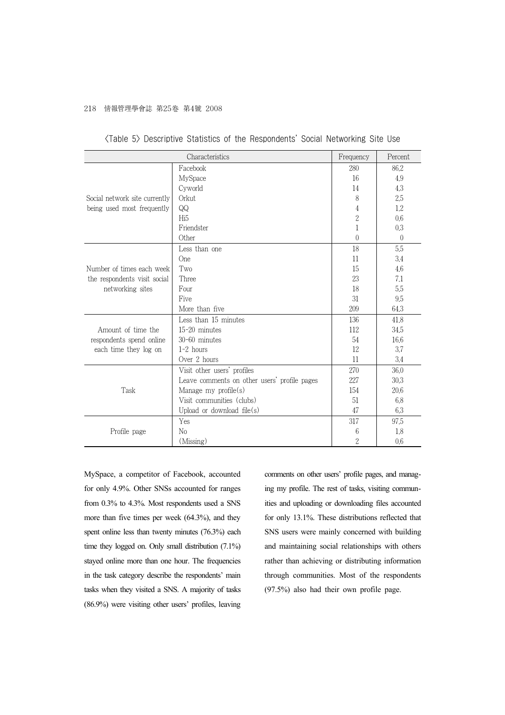#### 218 情報管理學會誌 第25卷 第4號 2008

|                               | Characteristics                              | Frequency        | Percent        |
|-------------------------------|----------------------------------------------|------------------|----------------|
|                               | Facebook                                     | 280              | 86.2           |
|                               | MySpace                                      | 16               | 4.9            |
|                               | Cyworld                                      | 14               | 4.3            |
| Social network site currently | Orkut                                        | 8                | 2.5            |
| being used most frequently    | QQ                                           | 4                | 1.2            |
|                               | Hi <sub>5</sub>                              | $\overline{c}$   | 0.6            |
|                               | Friendster                                   | 1                | 0.3            |
|                               | Other                                        | $\left( \right)$ | $\overline{0}$ |
|                               | Less than one                                | 18               | 5,5            |
|                               | One                                          | 11               | 3.4            |
| Number of times each week     | Two                                          | 15               | 4.6            |
| the respondents visit social  | Three                                        | 23               | 7.1            |
| networking sites              | Four                                         | 18               | 5.5            |
|                               | Five                                         | 31               | 9,5            |
|                               | More than five                               | 209              | 64.3           |
|                               | Less than 15 minutes                         | 136              | 41.8           |
| Amount of time the            | 15-20 minutes                                | 112              | 34.5           |
| respondents spend online      | $30-60$ minutes                              | 54               | 16.6           |
| each time they log on         | $1-2$ hours                                  | 12               | 3.7            |
|                               | Over 2 hours                                 | 11               | 3.4            |
|                               | Visit other users' profiles                  | 270              | 36.0           |
|                               | Leave comments on other users' profile pages | 227              | 30.3           |
| Task                          | Manage my $profile(s)$                       | 154              | 20.6           |
|                               | Visit communities (clubs)                    | 51               | 6.8            |
|                               | Upload or download $file(s)$                 | 47               | 6.3            |
|                               | Yes                                          | 317              | 97.5           |
| Profile page                  | $\rm No$                                     | 6                | 1.8            |
|                               | (Missing)                                    | $\overline{2}$   | 0.6            |

|  |  |  |  |  | 〈Table 5〉 Descriptive Statistics of the Respondents' Social Networking Site Use |  |  |  |  |
|--|--|--|--|--|---------------------------------------------------------------------------------|--|--|--|--|
|--|--|--|--|--|---------------------------------------------------------------------------------|--|--|--|--|

MySpace, a competitor of Facebook, accounted for only 4.9%. Other SNSs accounted for ranges from 0.3% to 4.3%. Most respondents used a SNS more than five times per week (64.3%), and they spent online less than twenty minutes (76.3%) each time they logged on. Only small distribution (7.1%) stayed online more than one hour. The frequencies in the task category describe the respondents' main tasks when they visited a SNS. A majority of tasks (86.9%) were visiting other users' profiles, leaving

comments on other users' profile pages, and managing my profile. The rest of tasks, visiting communities and uploading or downloading files accounted for only 13.1%. These distributions reflected that SNS users were mainly concerned with building and maintaining social relationships with others rather than achieving or distributing information through communities. Most of the respondents (97.5%) also had their own profile page.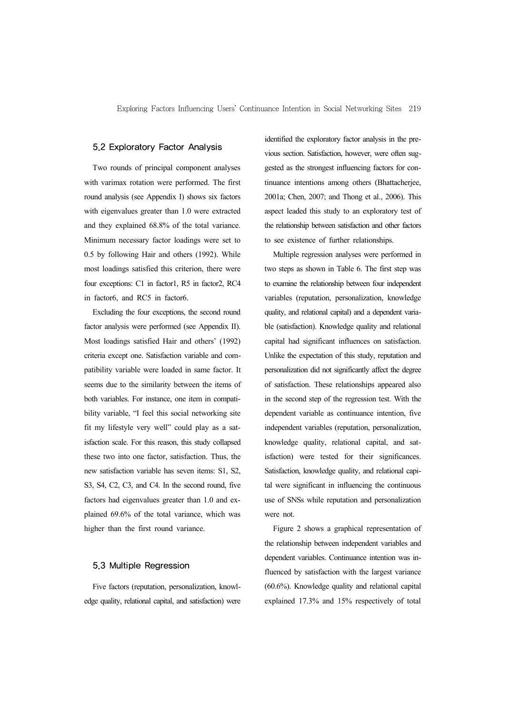#### 5.2 Exploratory Factor Analysis

Two rounds of principal component analyses with varimax rotation were performed. The first round analysis (see Appendix I) shows six factors with eigenvalues greater than 1.0 were extracted and they explained 68.8% of the total variance. Minimum necessary factor loadings were set to 0.5 by following Hair and others (1992). While most loadings satisfied this criterion, there were four exceptions: C1 in factor1, R5 in factor2, RC4 in factor6, and RC5 in factor6.

Excluding the four exceptions, the second round factor analysis were performed (see Appendix II). Most loadings satisfied Hair and others' (1992) criteria except one. Satisfaction variable and compatibility variable were loaded in same factor. It seems due to the similarity between the items of both variables. For instance, one item in compatibility variable, "I feel this social networking site fit my lifestyle very well" could play as a satisfaction scale. For this reason, this study collapsed these two into one factor, satisfaction. Thus, the new satisfaction variable has seven items: S1, S2, S3, S4, C2, C3, and C4. In the second round, five factors had eigenvalues greater than 1.0 and explained 69.6% of the total variance, which was higher than the first round variance.

### 5.3 Multiple Regression

Five factors (reputation, personalization, knowledge quality, relational capital, and satisfaction) were identified the exploratory factor analysis in the previous section. Satisfaction, however, were often suggested as the strongest influencing factors for continuance intentions among others (Bhattacheriee, 2001a; Chen, 2007; and Thong et al., 2006). This aspect leaded this study to an exploratory test of the relationship between satisfaction and other factors to see existence of further relationships.

Multiple regression analyses were performed in two steps as shown in Table 6. The first step was to examine the relationship between four independent variables (reputation, personalization, knowledge quality, and relational capital) and a dependent variable (satisfaction). Knowledge quality and relational capital had significant influences on satisfaction. Unlike the expectation of this study, reputation and personalization did not significantly affect the degree of satisfaction. These relationships appeared also in the second step of the regression test. With the dependent variable as continuance intention, five independent variables (reputation, personalization, knowledge quality, relational capital, and satisfaction) were tested for their significances. Satisfaction, knowledge quality, and relational capital were significant in influencing the continuous use of SNSs while reputation and personalization were not.

Figure 2 shows a graphical representation of the relationship between independent variables and dependent variables. Continuance intention was influenced by satisfaction with the largest variance (60.6%). Knowledge quality and relational capital explained 17.3% and 15% respectively of total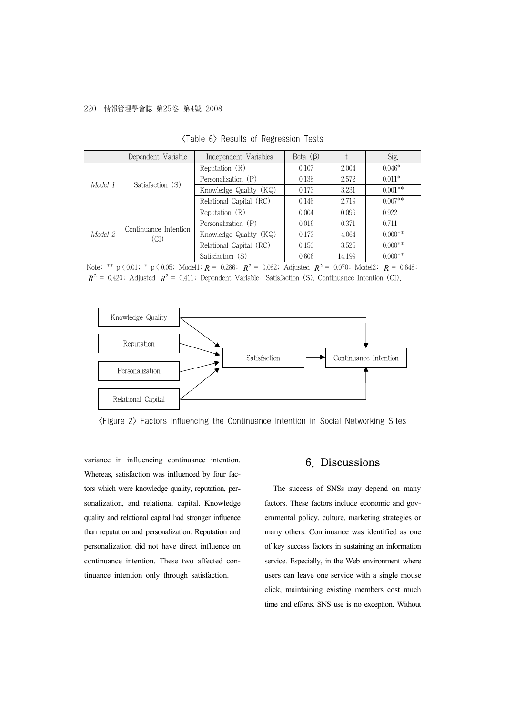#### 220 情報管理學會誌 第25卷 第4號 2008

|         | Dependent Variable            | Independent Variables   | Beta $(\beta)$ |        | Sig.      |
|---------|-------------------------------|-------------------------|----------------|--------|-----------|
| Model 1 |                               | Reputation $(R)$        | 0.107          | 2.004  | $0.046*$  |
|         | Satisfaction (S)              | Personalization (P)     | 0.138          | 2.572  | $0.011*$  |
|         |                               | Knowledge Quality (KQ)  | 0.173          | 3.231  | $0.001**$ |
|         |                               | Relational Capital (RC) | 0.146          | 2.719  | $0.007**$ |
| Model 2 | Continuance Intention<br>(CI) | Reputation $(R)$        | 0.004          | 0.099  | 0.922     |
|         |                               | Personalization (P)     | 0.016          | 0.371  | 0.711     |
|         |                               | Knowledge Quality (KQ)  | 0.173          | 4.064  | $0.000**$ |
|         |                               | Relational Capital (RC) | 0.150          | 3.525  | $0.000**$ |
|         |                               | Satisfaction (S)        | 0.606          | 14.199 | $0.000**$ |

<Table 6> Results of Regression Tests

Note: \*\*  $p \ (0.01; * p \ (0.05; Model1: R = 0.286; R^2 = 0.082; Adjusted R^2 = 0.070; Model2: R = 0.648;$  $R^2 = 0.420$ ; Adjusted  $R^2 = 0.411$ ; Dependent Variable: Satisfaction (S), Continuance Intention (CI).



<Figure 2> Factors Influencing the Continuance Intention in Social Networking Sites

variance in influencing continuance intention. Whereas, satisfaction was influenced by four factors which were knowledge quality, reputation, personalization, and relational capital. Knowledge quality and relational capital had stronger influence than reputation and personalization. Reputation and personalization did not have direct influence on continuance intention. These two affected continuance intention only through satisfaction.

### 6. Discussions

The success of SNSs may depend on many factors. These factors include economic and governmental policy, culture, marketing strategies or many others. Continuance was identified as one of key success factors in sustaining an information service. Especially, in the Web environment where users can leave one service with a single mouse click, maintaining existing members cost much time and efforts. SNS use is no exception. Without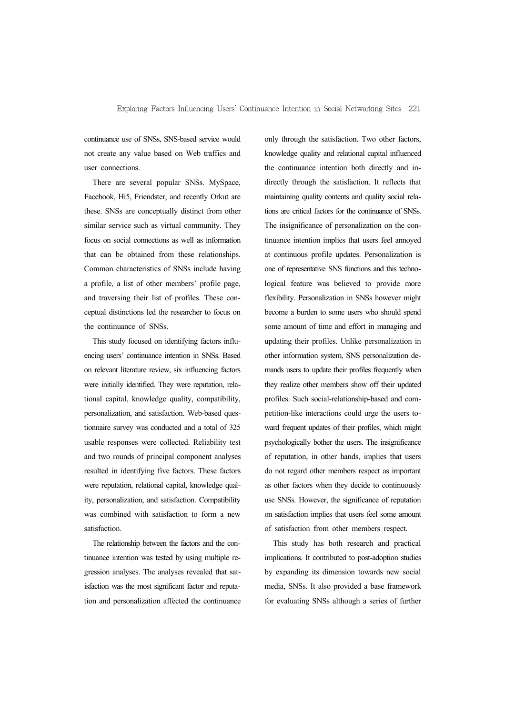continuance use of SNSs, SNS-based service would not create any value based on Web traffics and user connections.

There are several popular SNSs. MySpace, Facebook, Hi5, Friendster, and recently Orkut are these. SNSs are conceptually distinct from other similar service such as virtual community. They focus on social connections as well as information that can be obtained from these relationships. Common characteristics of SNSs include having a profile, a list of other members' profile page, and traversing their list of profiles. These conceptual distinctions led the researcher to focus on the continuance of SNSs.

This study focused on identifying factors influencing users' continuance intention in SNSs. Based on relevant literature review, six influencing factors were initially identified. They were reputation, relational capital, knowledge quality, compatibility, personalization, and satisfaction. Web-based questionnaire survey was conducted and a total of 325 usable responses were collected. Reliability test and two rounds of principal component analyses resulted in identifying five factors. These factors were reputation, relational capital, knowledge quality, personalization, and satisfaction. Compatibility was combined with satisfaction to form a new satisfaction.

The relationship between the factors and the continuance intention was tested by using multiple regression analyses. The analyses revealed that satisfaction was the most significant factor and reputation and personalization affected the continuance only through the satisfaction. Two other factors, knowledge quality and relational capital influenced the continuance intention both directly and indirectly through the satisfaction. It reflects that maintaining quality contents and quality social relations are critical factors for the continuance of SNSs. The insignificance of personalization on the continuance intention implies that users feel annoyed at continuous profile updates. Personalization is one of representative SNS functions and this technological feature was believed to provide more flexibility. Personalization in SNSs however might become a burden to some users who should spend some amount of time and effort in managing and updating their profiles. Unlike personalization in other information system, SNS personalization demands users to update their profiles frequently when they realize other members show off their updated profiles. Such social-relationship-based and competition-like interactions could urge the users toward frequent updates of their profiles, which might psychologically bother the users. The insignificance of reputation, in other hands, implies that users do not regard other members respect as important as other factors when they decide to continuously use SNSs. However, the significance of reputation on satisfaction implies that users feel some amount of satisfaction from other members respect.

This study has both research and practical implications. It contributed to post-adoption studies by expanding its dimension towards new social media, SNSs. It also provided a base framework for evaluating SNSs although a series of further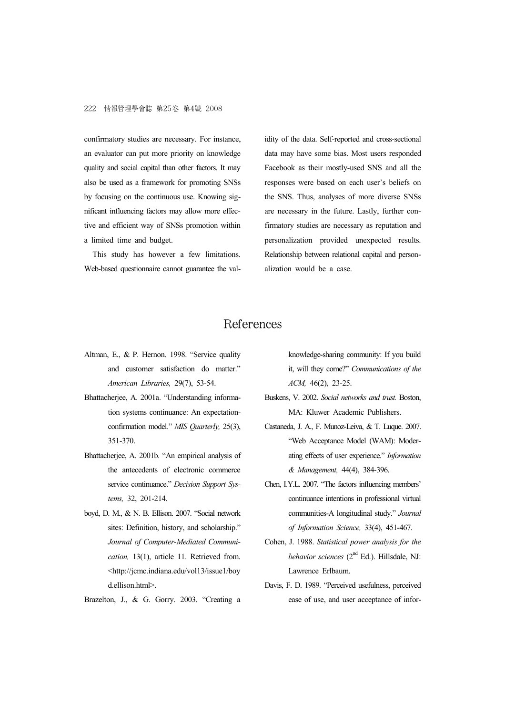confirmatory studies are necessary. For instance, an evaluator can put more priority on knowledge quality and social capital than other factors. It may also be used as a framework for promoting SNSs by focusing on the continuous use. Knowing significant influencing factors may allow more effective and efficient way of SNSs promotion within a limited time and budget.

This study has however a few limitations. Web-based questionnaire cannot guarantee the validity of the data. Self-reported and cross-sectional data may have some bias. Most users responded Facebook as their mostly-used SNS and all the responses were based on each user's beliefs on the SNS. Thus, analyses of more diverse SNSs are necessary in the future. Lastly, further confirmatory studies are necessary as reputation and personalization provided unexpected results. Relationship between relational capital and personalization would be a case.

## References

- Altman, E., & P. Hernon. 1998. "Service quality and customer satisfaction do matter." *American Libraries,* 29(7), 53-54.
- Bhattacherjee, A. 2001a. "Understanding information systems continuance: An expectationconfirmation model." *MIS Quarterly,* 25(3), 351-370.
- Bhattacherjee, A. 2001b. "An empirical analysis of the antecedents of electronic commerce service continuance." *Decision Support Systems,* 32, 201-214.
- boyd, D. M., & N. B. Ellison. 2007. "Social network sites: Definition, history, and scholarship." *Journal of Computer-Mediated Communication,* 13(1), article 11. Retrieved from. <http://jcmc.indiana.edu/vol13/issue1/boy d.ellison.html>.

Brazelton, J., & G. Gorry. 2003. "Creating a

knowledge-sharing community: If you build it, will they come?" *Communications of the ACM,* 46(2), 23-25.

- Buskens, V. 2002. *Social networks and trust.* Boston, MA: Kluwer Academic Publishers.
- Castaneda, J. A., F. Munoz-Leiva, & T. Luque. 2007. "Web Acceptance Model (WAM): Moderating effects of user experience." *Information & Management,* 44(4), 384-396.
- Chen, I.Y.L. 2007. "The factors influencing members' continuance intentions in professional virtual communities-A longitudinal study." *Journal of Information Science,* 33(4), 451-467.
- Cohen, J. 1988. *Statistical power analysis for the behavior sciences* (2nd Ed.). Hillsdale, NJ: Lawrence Erlbaum.
- Davis, F. D. 1989. "Perceived usefulness, perceived ease of use, and user acceptance of infor-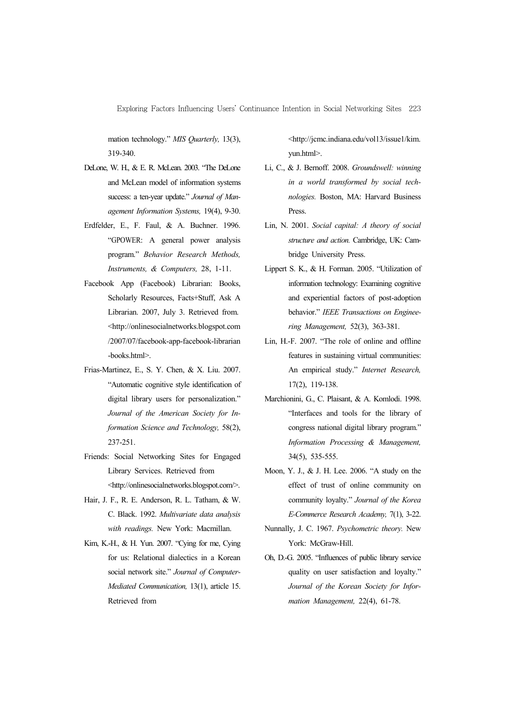Exploring Factors Influencing Users' Continuance Intention in Social Networking Sites 223

mation technology." *MIS Quarterly,* 13(3), 319-340.

- DeLone, W. H., & E. R. McLean. 2003. "The DeLone and McLean model of information systems success: a ten-year update." *Journal of Management Information Systems,* 19(4), 9-30.
- Erdfelder, E., F. Faul, & A. Buchner. 1996. "GPOWER: A general power analysis program." *Behavior Research Methods, Instruments, & Computers,* 28, 1-11.
- Facebook App (Facebook) Librarian: Books, Scholarly Resources, Facts+Stuff, Ask A Librarian. 2007, July 3. Retrieved from. <http://onlinesocialnetworks.blogspot.com /2007/07/facebook-app-facebook-librarian -books.html>.
- Frias-Martinez, E., S. Y. Chen, & X. Liu. 2007. "Automatic cognitive style identification of digital library users for personalization." *Journal of the American Society for Information Science and Technology,* 58(2), 237-251.
- Friends: Social Networking Sites for Engaged Library Services. Retrieved from <http://onlinesocialnetworks.blogspot.com/>.
- Hair, J. F., R. E. Anderson, R. L. Tatham, & W. C. Black. 1992. *Multivariate data analysis with readings.* New York: Macmillan.
- Kim, K.-H., & H. Yun. 2007. "Cying for me, Cying for us: Relational dialectics in a Korean social network site." *Journal of Computer-Mediated Communication,* 13(1), article 15. Retrieved from

<http://jcmc.indiana.edu/vol13/issue1/kim. yun.html>.

- Li, C., & J. Bernoff. 2008. *Groundswell: winning in a world transformed by social technologies.* Boston, MA: Harvard Business Press.
- Lin, N. 2001. *Social capital: A theory of social structure and action.* Cambridge, UK: Cambridge University Press.
- Lippert S. K., & H. Forman. 2005. "Utilization of information technology: Examining cognitive and experiential factors of post-adoption behavior." *IEEE Transactions on Engineering Management,* 52(3), 363-381.
- Lin, H.-F. 2007. "The role of online and offline features in sustaining virtual communities: An empirical study." *Internet Research,*  17(2), 119-138.
- Marchionini, G., C. Plaisant, & A. Komlodi. 1998. "Interfaces and tools for the library of congress national digital library program." *Information Processing & Management,*  34(5), 535-555.
- Moon, Y. J., & J. H. Lee. 2006. "A study on the effect of trust of online community on community loyalty." *Journal of the Korea E-Commerce Research Academy,* 7(1), 3-22.
- Nunnally, J. C. 1967. *Psychometric theory.* New York: McGraw-Hill.
- Oh, D.-G. 2005. "Influences of public library service quality on user satisfaction and loyalty." *Journal of the Korean Society for Information Management,* 22(4), 61-78.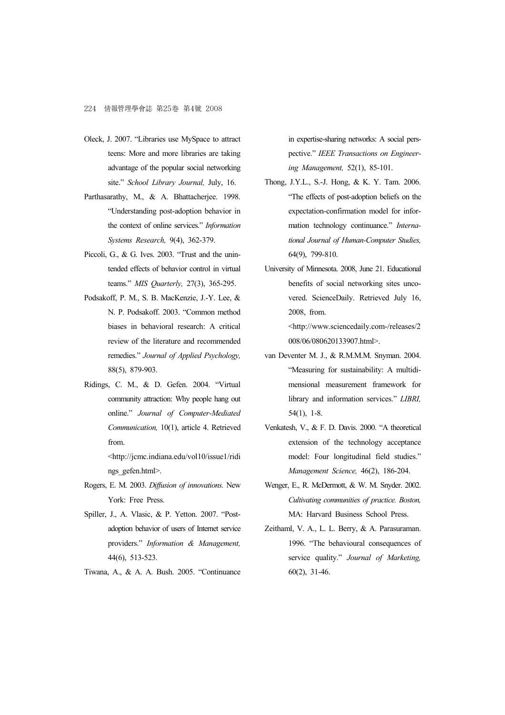- Oleck, J. 2007. "Libraries use MySpace to attract teens: More and more libraries are taking advantage of the popular social networking site." *School Library Journal,* July, 16.
- Parthasarathy, M., & A. Bhattacherjee. 1998. "Understanding post-adoption behavior in the context of online services." *Information Systems Research,* 9(4), 362-379.
- Piccoli, G., & G. Ives. 2003. "Trust and the unintended effects of behavior control in virtual teams." *MIS Quarterly,* 27(3), 365-295.
- Podsakoff, P. M., S. B. MacKenzie, J.-Y. Lee, & N. P. Podsakoff. 2003. "Common method biases in behavioral research: A critical review of the literature and recommended remedies." *Journal of Applied Psychology,* 88(5), 879-903.
- Ridings, C. M., & D. Gefen. 2004. "Virtual community attraction: Why people hang out online." *Journal of Computer-Mediated Communication,* 10(1), article 4. Retrieved from.

<http://jcmc.indiana.edu/vol10/issue1/ridi ngs\_gefen.html>.

- Rogers, E. M. 2003. *Diffusion of innovations.* New York: Free Press.
- Spiller, J., A. Vlasic, & P. Yetton. 2007. "Postadoption behavior of users of Internet service providers." *Information & Management,* 44(6), 513-523.
- Tiwana, A., & A. A. Bush. 2005. "Continuance

in expertise-sharing networks: A social perspective." *IEEE Transactions on Engineering Management,* 52(1), 85-101.

- Thong, J.Y.L., S.-J. Hong, & K. Y. Tam. 2006. "The effects of post-adoption beliefs on the expectation-confirmation model for information technology continuance." *International Journal of Human-Computer Studies,* 64(9), 799-810.
- University of Minnesota. 2008, June 21. Educational benefits of social networking sites uncovered. ScienceDaily. Retrieved July 16, 2008, from. <http://www.sciencedaily.com-/releases/2

008/06/080620133907.html>.

- van Deventer M. J., & R.M.M.M. Snyman. 2004. "Measuring for sustainability: A multidimensional measurement framework for library and information services." *LIBRI,* 54(1), 1-8.
- Venkatesh, V., & F. D. Davis. 2000. "A theoretical extension of the technology acceptance model: Four longitudinal field studies." *Management Science,* 46(2), 186-204.
- Wenger, E., R. McDermott, & W. M. Snyder. 2002. *Cultivating communities of practice. Boston,* MA: Harvard Business School Press.
- Zeithaml, V. A., L. L. Berry, & A. Parasuraman. 1996. "The behavioural consequences of service quality." *Journal of Marketing,* 60(2), 31-46.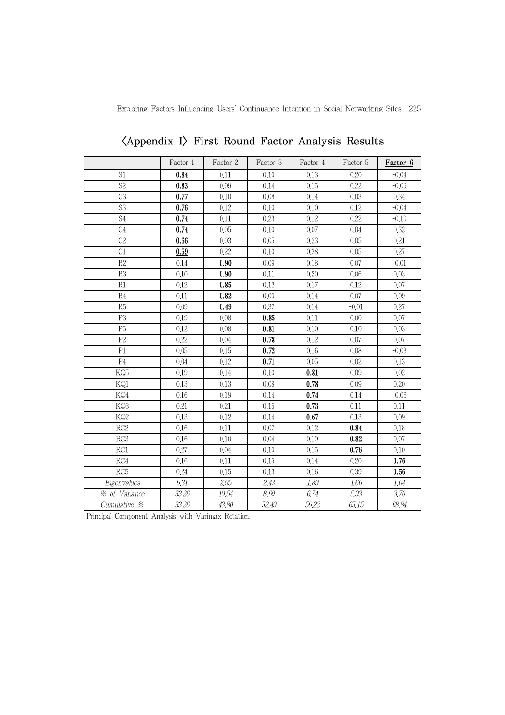Exploring Factors Influencing Users' Continuance Intention in Social Networking Sites 225

|                 | Factor 1 | Factor 2 | Factor 3 | Factor 4 | Factor 5 | Factor 6 |
|-----------------|----------|----------|----------|----------|----------|----------|
| S1              | 0.84     | 0.11     | 0.10     | 0.13     | 0.20     | $-0.04$  |
| S <sub>2</sub>  | 0.83     | 0.09     | 0.14     | 0.15     | 0.22     | $-0.09$  |
| C <sub>3</sub>  | 0.77     | 0.10     | 0.08     | 0.14     | 0.03     | 0.34     |
| S <sub>3</sub>  | 0.76     | 0.12     | 0.10     | 0.10     | 0.12     | $-0.04$  |
| S4              | 0.74     | 0.11     | 0.23     | 0.12     | 0.22     | $-0.10$  |
| C <sub>4</sub>  | 0.74     | 0.05     | 0.10     | 0.07     | 0.04     | 0.32     |
| C <sub>2</sub>  | 0.66     | 0.03     | 0.05     | 0.23     | 0.05     | 0.21     |
| C1              | 0.59     | 0.22     | 0.10     | 0.38     | 0.05     | 0.27     |
| R2              | 0.14     | 0.90     | 0.09     | 0.18     | 0.07     | $-0.01$  |
| R3              | 0.10     | 0.90     | 0.11     | 0.20     | 0.06     | 0.03     |
| R1              | 0.12     | 0.85     | 0.12     | 0.17     | 0.12     | 0.07     |
| R4              | 0.11     | 0.82     | 0.09     | 0.14     | 0.07     | 0.09     |
| R5              | 0.09     | 0.49     | 0.37     | 0.14     | $-0.01$  | 0.27     |
| P <sub>3</sub>  | 0.19     | 0.08     | 0.85     | 0.11     | 0.00     | 0.07     |
| P <sub>5</sub>  | 0.12     | 0.08     | 0.81     | 0.10     | 0.10     | 0.03     |
| P2              | 0.22     | 0.04     | 0.78     | 0.12     | 0.07     | $0.07\,$ |
| P1              | 0.05     | 0.15     | 0.72     | 0.16     | 0.08     | $-0.03$  |
| P <sub>4</sub>  | 0.04     | 0.12     | 0.71     | 0.05     | 0.02     | 0.13     |
| KQ5             | 0.19     | 0.14     | 0.10     | 0.81     | 0.09     | 0.02     |
| KQ1             | 0.13     | 0.13     | 0.08     | 0.78     | 0.09     | 0.20     |
| KQ4             | 0.16     | 0.19     | 0.14     | 0.74     | 0.14     | $-0.06$  |
| KQ3             | 0.21     | 0.21     | 0.15     | 0.73     | 0.11     | 0.11     |
| KQ2             | 0.13     | 0.12     | 0.14     | 0.67     | 0.13     | 0.09     |
| RC <sub>2</sub> | 0.16     | 0.11     | 0.07     | 0.12     | 0.84     | 0.18     |
| RC3             | 0.16     | 0.10     | 0.04     | 0.19     | 0.82     | 0.07     |
| RC1             | 0.27     | 0.04     | 0.10     | 0.15     | 0.76     | 0.10     |
| RC4             | 0.16     | 0.11     | 0.15     | 0.14     | 0.20     | 0.76     |
| RC <sub>5</sub> | 0.24     | 0.15     | 0.13     | 0.16     | 0.39     | 0.56     |
| Eigenvalues     | $9.31\,$ | 2.95     | 2.43     | 1.89     | 1.66     | 1.04     |
| % of Variance   | 33,26    | 10.54    | 8.69     | 6.74     | 5.93     | 3.70     |
| Cumulative %    | 33.26    | 43.80    | 52.49    | 59.22    | 65.15    | 68.84    |

<Appendix I> First Round Factor Analysis Results

Principal Component Analysis with Varimax Rotation.